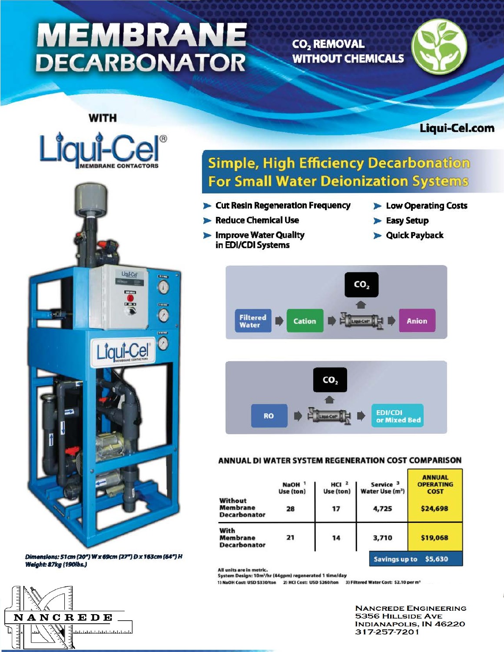# **MEMBRANE DECARBONATOR**

CO<sub>2</sub> REMOVAL **WITHOUT CHEMICALS** 



Liqui-Cel.com



Dimensions: 51cm (20") W x 69cm (27") D x 163cm (64") H **Weight: 87kg (190lbs.)** 



### **Simple, High Efficiency Decarbonation For Small Water Deionization Systems**

- Cut Resin Regeneration Frequency
- Reduce Chemical Use
- Improve Water Quality
- Low Operating Costs
- Easy Setup
- **D** Quick Payback





#### ANNUAL DI WATER SYSTEM REGENERATION COST COMPARISON

|                                            | NaOH <sup>1</sup><br>Use (ton) | HCl <sup>2</sup><br>Use (ton) | Service <sup>3</sup><br>Water Use (m <sup>3</sup> ) | <b>ANNUAL</b><br><b>OPERATING</b><br><b>COST</b> |  |  |
|--------------------------------------------|--------------------------------|-------------------------------|-----------------------------------------------------|--------------------------------------------------|--|--|
| Without<br>Membrane<br><b>Decarbonator</b> | 28                             | 17                            | 4,725                                               | \$24,698                                         |  |  |
| With<br>Membrane<br><b>Decarbonator</b>    | 21                             | 14                            | 3,710                                               | \$19,068                                         |  |  |
|                                            |                                |                               |                                                     | \$5,630<br><b>Savings up to</b>                  |  |  |

All units are in metric.

System Design: 10m<sup>3</sup>/hr (44gpm) regenerated 1 time/day

1) NaOH Cost: USD \$330/ton 2) HCI Cost: USD \$260/ton 3) Filtered Water Cost: \$2.10 per m'

**NANCREDE ENGINEERING** 5356 HILLSIDE AVE **INDIANAPOLIS, IN 46220** 317-257-7201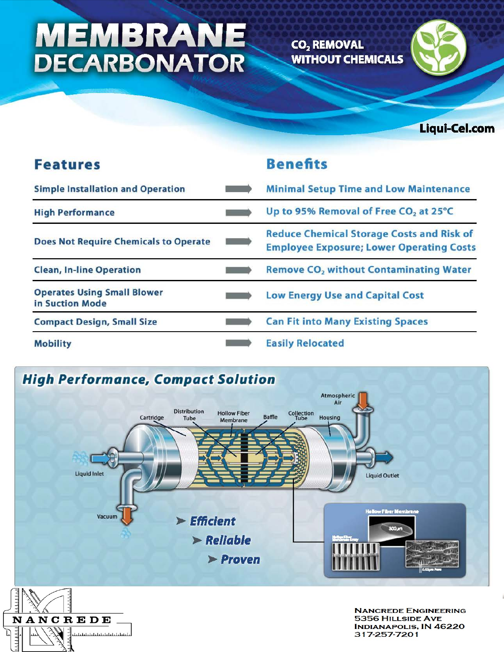# **MEMBRANE**<br>DECARBONATOR

NANCREDE

المتخابط بالمائيلي المتحادات

لىلىلىلىك

CO<sub>2</sub> REMOVAL **WITHOUT CHEMICALS** 



Liqui-Cel.com

| <b>Features</b>                                       | <b>Benefits</b>                                                                                     |  |  |
|-------------------------------------------------------|-----------------------------------------------------------------------------------------------------|--|--|
| <b>Simple Installation and Operation</b>              | <b>Minimal Setup Time and Low Maintenance</b>                                                       |  |  |
| <b>High Performance</b>                               | Up to 95% Removal of Free CO <sub>2</sub> at 25°C                                                   |  |  |
| <b>Does Not Require Chemicals to Operate</b>          | <b>Reduce Chemical Storage Costs and Risk of</b><br><b>Employee Exposure; Lower Operating Costs</b> |  |  |
| <b>Clean, In-line Operation</b>                       | <b>Remove CO<sub>2</sub></b> without Contaminating Water                                            |  |  |
| <b>Operates Using Small Blower</b><br>in Suction Mode | <b>Low Energy Use and Capital Cost</b>                                                              |  |  |
| <b>Compact Design, Small Size</b>                     | <b>Can Fit into Many Existing Spaces</b>                                                            |  |  |
| <b>Mobility</b>                                       | <b>Easily Relocated</b>                                                                             |  |  |



**NANCREDE ENGINEERING 5356 HILLSIDE AVE<br>INDIANAPOLIS, IN 46220**  $-10220$ 317-257-7201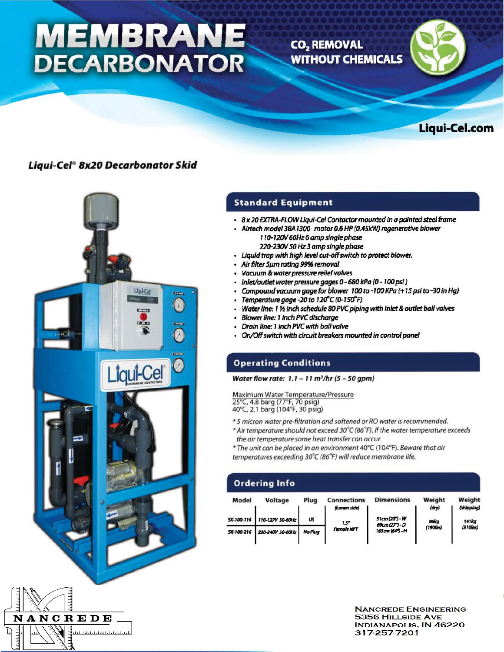## **MEMBRANE DECARBONATOR**

CO<sub>2</sub> REMOVAL **WITHOUT CHEMICALS** 





#### Liqui-Ce/• Bx20 Decarbonator Skid



#### Standard Equipment

- 8 x 20 EXTRA-FLOW Uqul-Cel Conroctor mounted In o pointed steel frame
- Alrtech model 3BA 1300 motor 0.6 HP (0.45.kW) regenerative blower 1 10-120V 60Hz 6 amp single phase 220-230V SO Hz 3 amp single phase
- Liquid trap with high level cut-off switch to protect blower.
- Air filter Sµm rating 9996 removal
- Vacuum & *water* pressure relief valves
- Inlet/outlet water pressure gages 0 680 kPa (0 100 psi)
- Compound WJCUUm gage for *bloWG"* 100 *to* -100 *KPa (+* 15 *psi* to -30 *in* Hg)
- Temperature gage -20 to 120°C (0-150°F)
- **Water line: 1 % inch schedule 80 PVC piping with inlet & outlet ball valves**
- Blower lint: 1 Inch *PVC discharge*
- Drain line: 1 inch PVC wtth ball valve
- On/Off switch with drcuit breakers mounted in control panel

#### Operating Conditions

Water flow rate:  $1.1 - 11$  m<sup>3</sup>/hr (5 - 50 gpm)

Maximum Water Temperature/Pressure 25°(, 4.8 barg (77°F, 70 psig)

40°C, 2.1 barg (104°F, 30 psig)

- \* 5 micron water pre-filtration and softened or RO water is recommended.
- \* Air temperature should not exceed 30°C (86°F). If the water temperature exceeds the air temperature some heat transfer can occur.
- \* The unit can be placed in an environment 40°C (104°F). Beware that air temperatures exceeding 30°C (86°F) will reduce membrane life.

#### Ordering Info

| Model | Voltage                       | Plug    | <b>Connections</b>                 | <b>Dimensions</b>                                 | Weight         | Weight              |
|-------|-------------------------------|---------|------------------------------------|---------------------------------------------------|----------------|---------------------|
|       |                               |         | (lumen side)<br>1.5"<br>Female NPT | 51cm (20") - W<br>69cm (27") - D<br>163cm (64")-H | (dry)          | (shipping)          |
|       | SK-100-116   110-127V 50-60Hz | us      |                                    |                                                   | 86kg<br>(1900) | 141kg<br>$(310$ bs) |
|       | SK-100-216 220-240V 50-60Hz   | No Plua |                                    |                                                   |                |                     |

**NANCREDE ENGINEERING** 5356 HILLSIDE AVE<br>INDIANAPOLIS, IN 46220<br>317-257-7201